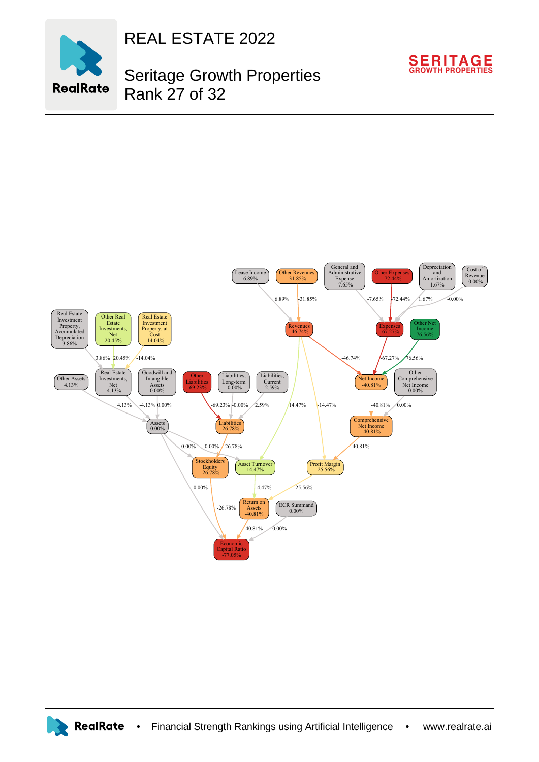

REAL ESTATE 2022

## Seritage Growth Properties Rank 27 of 32